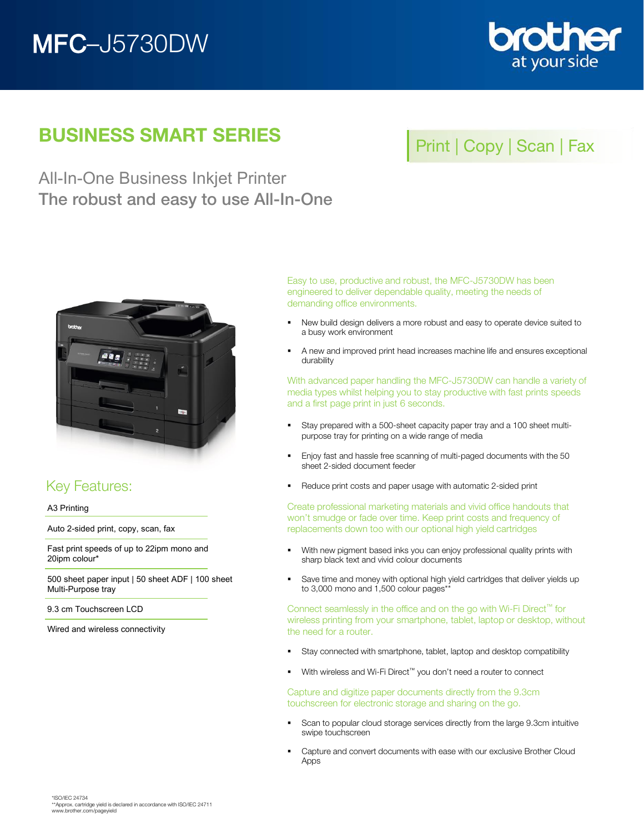# MFC–J5730DW



## BUSINESS SMART SERIES

## Print | Copy | Scan | Fax

All-In-One Business Inkjet Printer The robust and easy to use All-In-One



## Key Features:

A3 Printing

Auto 2-sided print, copy, scan, fax

Fast print speeds of up to 22ipm mono and 20ipm colour\*

500 sheet paper input | 50 sheet ADF | 100 sheet Multi-Purpose tray

9.3 cm Touchscreen LCD

Wired and wireless connectivity

Easy to use, productive and robust, the MFC-J5730DW has been engineered to deliver dependable quality, meeting the needs of demanding office environments.

- New build design delivers a more robust and easy to operate device suited to a busy work environment
- A new and improved print head increases machine life and ensures exceptional durability

With advanced paper handling the MFC-J5730DW can handle a variety of media types whilst helping you to stay productive with fast prints speeds and a first page print in just 6 seconds.

- Stay prepared with a 500-sheet capacity paper tray and a 100 sheet multipurpose tray for printing on a wide range of media
- **Enjoy fast and hassle free scanning of multi-paged documents with the 50** sheet 2-sided document feeder
- Reduce print costs and paper usage with automatic 2-sided print

Create professional marketing materials and vivid office handouts that won't smudge or fade over time. Keep print costs and frequency of replacements down too with our optional high yield cartridges

- With new pigment based inks you can enjoy professional quality prints with sharp black text and vivid colour documents
- **Save time and money with optional high yield cartridges that deliver yields up** to 3,000 mono and 1,500 colour pages\*\*

Connect seamlessly in the office and on the go with Wi-Fi Direct™ for wireless printing from your smartphone, tablet, laptop or desktop, without the need for a router.

- Stay connected with smartphone, tablet, laptop and desktop compatibility
- With wireless and Wi-Fi Direct<sup>™</sup> you don't need a router to connect

Capture and digitize paper documents directly from the 9.3cm touchscreen for electronic storage and sharing on the go.

- **Scan to popular cloud storage services directly from the large 9.3cm intuitive** swipe touchscreen
- **EXEC** Capture and convert documents with ease with our exclusive Brother Cloud Apps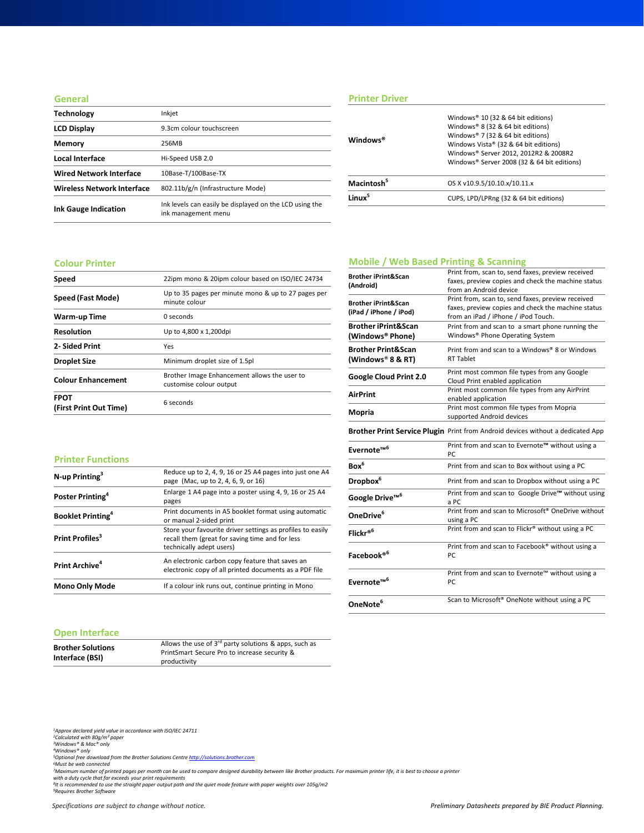#### **General**

| <b>Technology</b>                 | Inkjet                                                                         |
|-----------------------------------|--------------------------------------------------------------------------------|
| <b>LCD Display</b>                | 9.3cm colour touchscreen                                                       |
| Memory                            | 256MB                                                                          |
| Local Interface                   | Hi-Speed USB 2.0                                                               |
| <b>Wired Network Interface</b>    | 10Base-T/100Base-TX                                                            |
| <b>Wireless Network Interface</b> | 802.11b/g/n (Infrastructure Mode)                                              |
| <b>Ink Gauge Indication</b>       | Ink levels can easily be displayed on the LCD using the<br>ink management menu |

## **Printer Driver**

| Windows <sup>®</sup>   | Windows® 10 (32 & 64 bit editions)<br>Windows® 8 (32 & 64 bit editions)<br>Windows® 7 (32 & 64 bit editions)<br>Windows Vista® (32 & 64 bit editions)<br>Windows® Server 2012, 2012R2 & 2008R2<br>Windows® Server 2008 (32 & 64 bit editions) |
|------------------------|-----------------------------------------------------------------------------------------------------------------------------------------------------------------------------------------------------------------------------------------------|
| Macintosh <sup>5</sup> | OS X v10.9.5/10.10.x/10.11.x                                                                                                                                                                                                                  |
| l inuv <sup>5</sup>    | CUPS, LPD/LPRng (32 & 64 bit editions)                                                                                                                                                                                                        |
|                        |                                                                                                                                                                                                                                               |

#### **Colour Printer**

| Speed                                 | 22ipm mono & 20ipm colour based on ISO/IEC 24734                        |
|---------------------------------------|-------------------------------------------------------------------------|
| Speed (Fast Mode)                     | Up to 35 pages per minute mono & up to 27 pages per<br>minute colour    |
| Warm-up Time                          | 0 seconds                                                               |
| <b>Resolution</b>                     | Up to 4,800 x 1,200dpi                                                  |
| 2- Sided Print                        | Yes                                                                     |
| <b>Droplet Size</b>                   | Minimum droplet size of 1.5pl                                           |
| <b>Colour Enhancement</b>             | Brother Image Enhancement allows the user to<br>customise colour output |
| <b>FPOT</b><br>(First Print Out Time) | 6 seconds                                                               |

## **Mobile / Web Based Printing & Scanning**

| <b>Brother iPrint&amp;Scan</b><br>(Android)                    | Print from, scan to, send faxes, preview received<br>faxes, preview copies and check the machine status<br>from an Android device              |
|----------------------------------------------------------------|------------------------------------------------------------------------------------------------------------------------------------------------|
| <b>Brother iPrint&amp;Scan</b><br>(iPad / iPhone / iPod)       | Print from, scan to, send faxes, preview received<br>faxes, preview copies and check the machine status<br>from an iPad / iPhone / iPod Touch. |
| <b>Brother iPrint&amp;Scan</b><br>(Windows® Phone)             | Print from and scan to a smart phone running the<br>Windows® Phone Operating System                                                            |
| <b>Brother Print&amp;Scan</b><br>(Windows <sup>®</sup> 8 & RT) | Print from and scan to a Windows® 8 or Windows<br><b>RT Tablet</b>                                                                             |
| Google Cloud Print 2.0                                         | Print most common file types from any Google<br>Cloud Print enabled application                                                                |
| <b>AirPrint</b>                                                | Print most common file types from any AirPrint<br>enabled application                                                                          |
| Mopria                                                         | Print most common file types from Mopria<br>supported Android devices                                                                          |
|                                                                | Brother Print Service Plugin Print from Android devices without a dedicated App                                                                |
| Evernote <sup>™6</sup>                                         | Print from and scan to Evernote™ without using a<br>PC.                                                                                        |
| Box <sup>6</sup>                                               | Print from and scan to Box without using a PC                                                                                                  |
| Dropbox <sup>6</sup>                                           | Print from and scan to Dropbox without using a PC                                                                                              |
| Google Drive™ <sup>6</sup>                                     | Print from and scan to Google Drive™ without using<br>a PC                                                                                     |
| OneDrive <sup>6</sup>                                          | Print from and scan to Microsoft <sup>®</sup> OneDrive without<br>using a PC                                                                   |
| Flickr® <sup>6</sup>                                           | Print from and scan to Flickr® without using a PC                                                                                              |
| Facebook® <sup>6</sup>                                         | Print from and scan to Facebook® without using a<br>PC                                                                                         |
| Evernote <sup>™6</sup>                                         | Print from and scan to Evernote™ without using a<br>PC                                                                                         |
| OneNote <sup>6</sup>                                           | Scan to Microsoft <sup>®</sup> OneNote without using a PC                                                                                      |

#### **Printer Functions**

| <b>Mono Only Mode</b>                | If a colour ink runs out, continue printing in Mono                                                                                       |
|--------------------------------------|-------------------------------------------------------------------------------------------------------------------------------------------|
| Print Archive <sup>4</sup>           | An electronic carbon copy feature that saves an<br>electronic copy of all printed documents as a PDF file                                 |
| Print Profiles <sup>3</sup>          | Store your favourite driver settings as profiles to easily<br>recall them (great for saving time and for less<br>technically adept users) |
| <b>Booklet Printing</b> <sup>4</sup> | Print documents in A5 booklet format using automatic<br>or manual 2-sided print                                                           |
| Poster Printing <sup>4</sup>         | Enlarge 1 A4 page into a poster using 4, 9, 16 or 25 A4<br>pages                                                                          |
| $N$ -up Printing <sup>3</sup>        | Reduce up to 2, 4, 9, 16 or 25 A4 pages into just one A4<br>page (Mac, up to 2, 4, 6, 9, or 16)                                           |

#### **Open Interface**

| <b>Brother Solutions</b> | Allows the use of $3^{rd}$ party solutions & apps, such as |
|--------------------------|------------------------------------------------------------|
|                          | PrintSmart Secure Pro to increase security &               |
| Interface (BSI)          | productivity                                               |

*1Approx declared yield value in accordance with ISO/IEC 24711 2Calculated with 80g/m² paper 3Windows® & Mac® only 4Windows® only*

<sup>s</sup>Optional free download from the Brother Solutions Centre <u>[http://solutions.brother.com](http://solutions.brother.com/)</u><br>'Must be web connected<br>'Maximum number of printed pages per month can be used to compare designed durability between like Brother p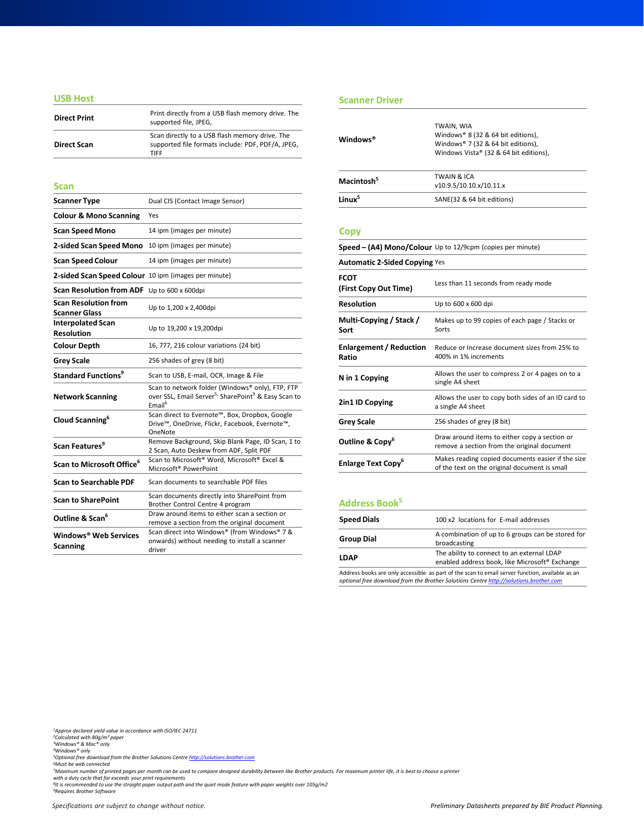#### **USB Host**

| <b>Direct Print</b> | Print directly from a USB flash memory drive. The<br>supported file, JPEG,                                         |
|---------------------|--------------------------------------------------------------------------------------------------------------------|
| <b>Direct Scan</b>  | Scan directly to a USB flash memory drive. The<br>supported file formats include: PDF, PDF/A, JPEG,<br><b>TIFF</b> |

#### **Scan**

| <b>Scanner Type</b>                                  | Dual CIS (Contact Image Sensor)                                                                                                                       |
|------------------------------------------------------|-------------------------------------------------------------------------------------------------------------------------------------------------------|
| <b>Colour &amp; Mono Scanning</b>                    | Yes                                                                                                                                                   |
| <b>Scan Speed Mono</b>                               | 14 ipm (images per minute)                                                                                                                            |
| 2-sided Scan Speed Mono                              | 10 ipm (images per minute)                                                                                                                            |
| <b>Scan Speed Colour</b>                             | 14 ipm (images per minute)                                                                                                                            |
| 2-sided Scan Speed Colour 10 ipm (images per minute) |                                                                                                                                                       |
| Scan Resolution from ADF Up to 600 x 600dpi          |                                                                                                                                                       |
| <b>Scan Resolution from</b><br><b>Scanner Glass</b>  | Up to 1,200 x 2,400dpi                                                                                                                                |
| <b>Interpolated Scan</b><br><b>Resolution</b>        | Up to 19,200 x 19,200dpi                                                                                                                              |
| <b>Colour Depth</b>                                  | 16, 777, 216 colour variations (24 bit)                                                                                                               |
| <b>Grey Scale</b>                                    | 256 shades of grey (8 bit)                                                                                                                            |
| <b>Standard Functions<sup>9</sup></b>                | Scan to USB, E-mail, OCR, Image & File                                                                                                                |
| <b>Network Scanning</b>                              | Scan to network folder (Windows® only), FTP, FTP<br>over SSL, Email Server <sup>5,</sup> SharePoint <sup>9</sup> & Easy Scan to<br>Email <sup>6</sup> |
| Cloud Scanning <sup>6</sup>                          | Scan direct to Evernote™, Box, Dropbox, Google<br>Drive™, OneDrive, Flickr, Facebook, Evernote™,<br>OneNote                                           |
| Scan Features <sup>9</sup>                           | Remove Background, Skip Blank Page, ID Scan, 1 to<br>2 Scan, Auto Deskew from ADF, Split PDF                                                          |
| Scan to Microsoft Office <sup>6</sup>                | Scan to Microsoft <sup>®</sup> Word, Microsoft <sup>®</sup> Excel &<br>Microsoft <sup>®</sup> PowerPoint                                              |
| <b>Scan to Searchable PDF</b>                        | Scan documents to searchable PDF files                                                                                                                |
| <b>Scan to SharePoint</b>                            | Scan documents directly into SharePoint from<br>Brother Control Centre 4 program                                                                      |
| Outline & Scan <sup>6</sup>                          | Draw around items to either scan a section or<br>remove a section from the original document                                                          |
| Windows® Web Services<br><b>Scanning</b>             | Scan direct into Windows® (from Windows® 7 &<br>onwards) without needing to install a scanner<br>driver                                               |

#### **Scanner Driver**

| Windows <sup>®</sup>   | TWAIN, WIA<br>Windows® 8 (32 & 64 bit editions),<br>Windows® 7 (32 & 64 bit editions),<br>Windows Vista® (32 & 64 bit editions), |  |
|------------------------|----------------------------------------------------------------------------------------------------------------------------------|--|
| Macintosh <sup>5</sup> | <b>TWAIN &amp; ICA</b><br>v10.9.5/10.10.x/10.11.x                                                                                |  |
| linux <sup>5</sup>     | SANE(32 & 64 bit editions)                                                                                                       |  |

#### **Copy**

|                                         | Speed - (A4) Mono/Colour Up to 12/9cpm (copies per minute)                                         |  |
|-----------------------------------------|----------------------------------------------------------------------------------------------------|--|
| <b>Automatic 2-Sided Copying Yes</b>    |                                                                                                    |  |
| <b>FCOT</b><br>(First Copy Out Time)    | Less than 11 seconds from ready mode                                                               |  |
| <b>Resolution</b>                       | Up to 600 x 600 dpi                                                                                |  |
| Multi-Copying / Stack /<br>Sort         | Makes up to 99 copies of each page / Stacks or<br>Sorts                                            |  |
| <b>Enlargement / Reduction</b><br>Ratio | Reduce or Increase document sizes from 25% to<br>400% in 1% increments                             |  |
| N in 1 Copying                          | Allows the user to compress 2 or 4 pages on to a<br>single A4 sheet                                |  |
| 2in1 ID Copying                         | Allows the user to copy both sides of an ID card to<br>a single A4 sheet                           |  |
| <b>Grey Scale</b>                       | 256 shades of grey (8 bit)                                                                         |  |
| Outline & Copy <sup>6</sup>             | Draw around items to either copy a section or<br>remove a section from the original document       |  |
| Enlarge Text Copy <sup>6</sup>          | Makes reading copied documents easier if the size<br>of the text on the original document is small |  |

## **Address Book<sup>5</sup>**

| <b>Speed Dials</b> | 100 x2 locations for E-mail addresses                                                                                                                                                    |
|--------------------|------------------------------------------------------------------------------------------------------------------------------------------------------------------------------------------|
| <b>Group Dial</b>  | A combination of up to 6 groups can be stored for<br>broadcasting                                                                                                                        |
| <b>LDAP</b>        | The ability to connect to an external LDAP<br>enabled address book, like Microsoft <sup>®</sup> Exchange                                                                                 |
|                    | Address books are only accessible as part of the scan to email server function, available as an<br>optional free download from the Brother Solutions Centre http://solutions.brother.com |

*1Approx declared yield value in accordance with ISO/IEC 24711 2Calculated with 80g/m² paper 3Windows® & Mac® only 4Windows® only*

<sup>s</sup>Optional free download from the Brother Solutions Centre <u>[http://solutions.brother.com](http://solutions.brother.com/)</u><br>'Must be web connected<br>'Maximum number of printed pages per month can be used to compare designed durability between like Brother p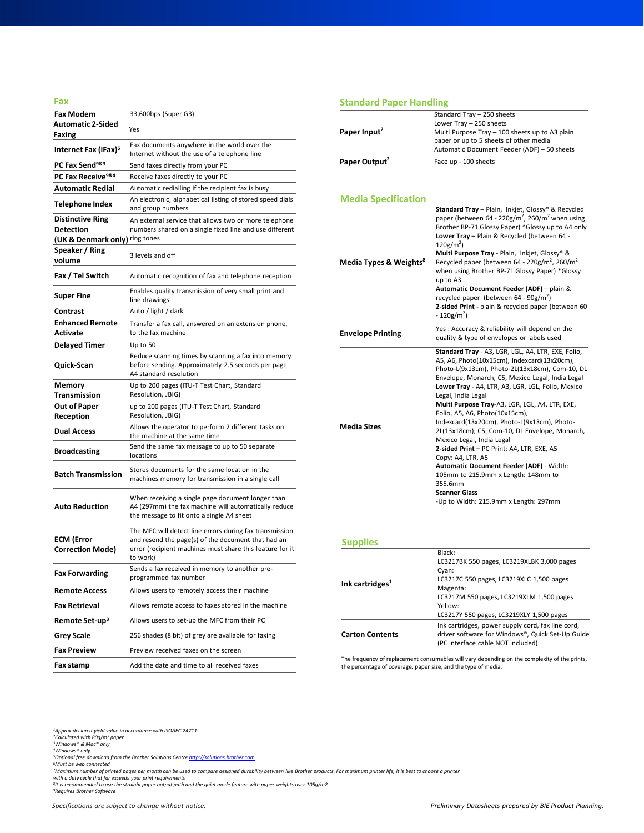| Fax                                          |                                                                                                                                                                                       |
|----------------------------------------------|---------------------------------------------------------------------------------------------------------------------------------------------------------------------------------------|
| <b>Fax Modem</b>                             | 33,600bps (Super G3)                                                                                                                                                                  |
| <b>Automatic 2-Sided</b><br>Faxing           | Yes                                                                                                                                                                                   |
| Internet Fax (iFax) <sup>5</sup>             | Fax documents anywhere in the world over the<br>Internet without the use of a telephone line                                                                                          |
| PC Fax Send <sup>9&amp;3</sup>               | Send faxes directly from your PC                                                                                                                                                      |
| PC Fax Receive <sup>9&amp;4</sup>            | Receive faxes directly to your PC                                                                                                                                                     |
| <b>Automatic Redial</b>                      | Automatic redialling if the recipient fax is busy                                                                                                                                     |
| Telephone Index                              | An electronic, alphabetical listing of stored speed dials<br>and group numbers                                                                                                        |
| <b>Distinctive Ring</b><br><b>Detection</b>  | An external service that allows two or more telephone<br>numbers shared on a single fixed line and use different                                                                      |
| (UK & Denmark only) ring tones               |                                                                                                                                                                                       |
| Speaker / Ring<br>volume                     | 3 levels and off                                                                                                                                                                      |
| Fax / Tel Switch                             | Automatic recognition of fax and telephone reception                                                                                                                                  |
| Super Fine                                   | Enables quality transmission of very small print and<br>line drawings                                                                                                                 |
| Contrast                                     | Auto / light / dark                                                                                                                                                                   |
| <b>Enhanced Remote</b><br>Activate           | Transfer a fax call, answered on an extension phone,<br>to the fax machine                                                                                                            |
| <b>Delayed Timer</b>                         | Up to 50                                                                                                                                                                              |
| Quick-Scan                                   | Reduce scanning times by scanning a fax into memory<br>before sending. Approximately 2.5 seconds per page<br>A4 standard resolution                                                   |
| Memory<br>Transmission                       | Up to 200 pages (ITU-T Test Chart, Standard<br>Resolution, JBIG)                                                                                                                      |
| <b>Out of Paper</b><br>Reception             | up to 200 pages (ITU-T Test Chart, Standard<br>Resolution, JBIG)                                                                                                                      |
| <b>Dual Access</b>                           | Allows the operator to perform 2 different tasks on<br>the machine at the same time                                                                                                   |
| <b>Broadcasting</b>                          | Send the same fax message to up to 50 separate<br>locations                                                                                                                           |
| <b>Batch Transmission</b>                    | Stores documents for the same location in the<br>machines memory for transmission in a single call                                                                                    |
| <b>Auto Reduction</b>                        | When receiving a single page document longer than<br>A4 (297mm) the fax machine will automatically reduce<br>the message to fit onto a single A4 sheet                                |
| <b>ECM (Error</b><br><b>Correction Mode)</b> | The MFC will detect line errors during fax transmission<br>and resend the page(s) of the document that had an<br>error (recipient machines must share this feature for it<br>to work) |
| <b>Fax Forwarding</b>                        | Sends a fax received in memory to another pre-<br>programmed fax number                                                                                                               |
| <b>Remote Access</b>                         | Allows users to remotely access their machine                                                                                                                                         |
| <b>Fax Retrieval</b>                         | Allows remote access to faxes stored in the machine                                                                                                                                   |
| Remote Set-up <sup>3</sup>                   | Allows users to set-up the MFC from their PC                                                                                                                                          |
| <b>Grey Scale</b>                            | 256 shades (8 bit) of grey are available for faxing                                                                                                                                   |
| <b>Fax Preview</b>                           | Preview received faxes on the screen                                                                                                                                                  |
| Fax stamp                                    | Add the date and time to all received faxes                                                                                                                                           |

### **Standard Paper Handling**

| Paper Input <sup>2</sup>           | Standard Tray - 250 sheets<br>Lower Tray - 250 sheets<br>Multi Purpose Tray - 100 sheets up to A3 plain<br>paper or up to 5 sheets of other media<br>Automatic Document Feeder (ADF) - 50 sheets                                                                                                                                                                                                                                                                                                                                                                                                                                                                                                                                       |
|------------------------------------|----------------------------------------------------------------------------------------------------------------------------------------------------------------------------------------------------------------------------------------------------------------------------------------------------------------------------------------------------------------------------------------------------------------------------------------------------------------------------------------------------------------------------------------------------------------------------------------------------------------------------------------------------------------------------------------------------------------------------------------|
| Paper Output <sup>2</sup>          | Face up - 100 sheets                                                                                                                                                                                                                                                                                                                                                                                                                                                                                                                                                                                                                                                                                                                   |
|                                    |                                                                                                                                                                                                                                                                                                                                                                                                                                                                                                                                                                                                                                                                                                                                        |
| <b>Media Specification</b>         | Standard Tray - Plain, Inkjet, Glossy* & Recycled                                                                                                                                                                                                                                                                                                                                                                                                                                                                                                                                                                                                                                                                                      |
| Media Types & Weights <sup>8</sup> | paper (between 64 - 220g/m <sup>2</sup> , 260/m <sup>2</sup> when using<br>Brother BP-71 Glossy Paper) *Glossy up to A4 only<br>Lower Tray - Plain & Recycled (between 64 -<br>$120g/m2$ )<br>Multi Purpose Tray - Plain, Inkjet, Glossy* &<br>Recycled paper (between 64 - 220g/m <sup>2</sup> , 260/m <sup>2</sup><br>when using Brother BP-71 Glossy Paper) *Glossy<br>up to A3<br>Automatic Document Feeder (ADF) - plain &<br>recycled paper (between $64 - 90g/m^2$ )<br>2-sided Print - plain & recycled paper (between 60<br>$-120$ g/m <sup>2</sup> )                                                                                                                                                                         |
| <b>Envelope Printing</b>           | Yes: Accuracy & reliability will depend on the<br>quality & type of envelopes or labels used                                                                                                                                                                                                                                                                                                                                                                                                                                                                                                                                                                                                                                           |
| <b>Media Sizes</b>                 | Standard Tray - A3, LGR, LGL, A4, LTR, EXE, Folio,<br>A5, A6, Photo(10x15cm), Indexcard(13x20cm),<br>Photo-L(9x13cm), Photo-2L(13x18cm), Com-10, DL<br>Envelope, Monarch, C5, Mexico Legal, India Legal<br>Lower Tray - A4, LTR, A3, LGR, LGL, Folio, Mexico<br>Legal, India Legal<br>Multi Purpose Tray-A3, LGR, LGL, A4, LTR, EXE,<br>Folio, A5, A6, Photo(10x15cm),<br>Indexcard(13x20cm), Photo-L(9x13cm), Photo-<br>2L(13x18cm), C5, Com-10, DL Envelope, Monarch,<br>Mexico Legal, India Legal<br>2-sided Print - PC Print: A4, LTR, EXE, A5<br>Copy: A4, LTR, A5<br>Automatic Document Feeder (ADF) - Width:<br>105mm to 215.9mm x Length: 148mm to<br>355.6mm<br><b>Scanner Glass</b><br>-Up to Width: 215.9mm x Length: 297mm |

#### **Supplies**

The frequency of replacement consumables will vary depending on the complexity of the prints, the percentage of coverage, paper size, and the type of media.

*1Approx declared yield value in accordance with ISO/IEC 24711 2Calculated with 80g/m² paper 3Windows® & Mac® only 4Windows® only*

<sup>s</sup>Optional free download from the Brother Solutions Centre <u>[http://solutions.brother.com](http://solutions.brother.com/)</u><br>'Must be web connected<br>'Maximum number of printed pages per month can be used to compare designed durability between like Brother p